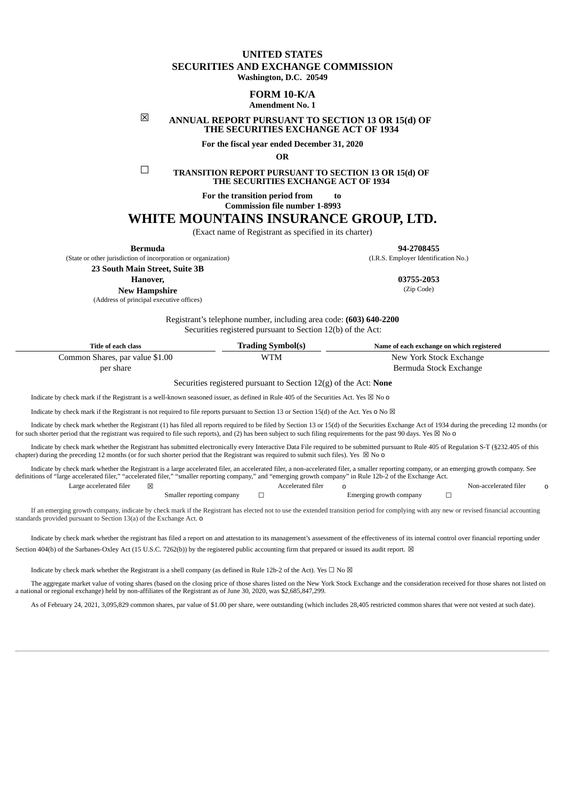# **UNITED STATES SECURITIES AND EXCHANGE COMMISSION**

**Washington, D.C. 20549**

## **FORM 10-K/A**

## **Amendment No. 1**

## ☒ **ANNUAL REPORT PURSUANT TO SECTION 13 OR 15(d) OF THE SECURITIES EXCHANGE ACT OF 1934**

**For the fiscal year ended December 31, 2020**

**OR**

☐ **TRANSITION REPORT PURSUANT TO SECTION <sup>13</sup> OR 15(d) OF THE SECURITIES EXCHANGE ACT OF 1934**

**For the transition period from to**

**Commission file number 1-8993**

# **WHITE MOUNTAINS INSURANCE GROUP, LTD.**

(Exact name of Registrant as specified in its charter)

**Bermuda 94-2708455**

(State or other jurisdiction of incorporation or organization) (I.R.S. Employer Identification No.)

**23 South Main Street, Suite 3B**

**Hanover, 03755-2053**

**New Hampshire**

(Address of principal executive offices)

(Zip Code)

Registrant's telephone number, including area code: **(603) 640-2200** Securities registered pursuant to Section 12(b) of the Act:

| <b>Title of each class</b>      | <b>Trading Symbol(s)</b> | Name of each exchange on which registered |
|---------------------------------|--------------------------|-------------------------------------------|
| Common Shares, par value \$1.00 | WTM                      | New York Stock Exchange                   |
| per share                       |                          | Bermuda Stock Exchange                    |

Securities registered pursuant to Section 12(g) of the Act: **None**

Indicate by check mark if the Registrant is a well-known seasoned issuer, as defined in Rule 405 of the Securities Act. Yes  $\boxtimes$  No o

Indicate by check mark if the Registrant is not required to file reports pursuant to Section 13 or Section 15(d) of the Act. Yes o No  $\boxtimes$ 

Indicate by check mark whether the Registrant (1) has filed all reports required to be filed by Section 13 or 15(d) of the Securities Exchange Act of 1934 during the preceding 12 months (or for such shorter period that the registrant was required to file such reports), and (2) has been subject to such filing requirements for the past 90 days. Yes  $\boxtimes$  No 0

Indicate by check mark whether the Registrant has submitted electronically every Interactive Data File required to be submitted pursuant to Rule 405 of Regulation S-T (§232.405 of this chapter) during the preceding 12 months (or for such shorter period that the Registrant was required to submit such files). Yes  $\boxtimes$  No 0

Indicate by check mark whether the Registrant is a large accelerated filer, an accelerated filer, a non-accelerated filer, a smaller reporting company, or an emerging growth company. See definitions of "large accelerated filer," "accelerated filer," "smaller reporting company," and "emerging growth company" in Rule 12b-2 of the Exchange Act. Large accelerated filer ☒ Accelerated filer o Non-accelerated filer o

Smaller reporting company ☐ Emerging growth company ☐

If an emerging growth company, indicate by check mark if the Registrant has elected not to use the extended transition period for complying with any new or revised financial accounting standards provided pursuant to Section 13(a) of the Exchange Act. o

Indicate by check mark whether the registrant has filed a report on and attestation to its management's assessment of the effectiveness of its internal control over financial reporting under Section 404(b) of the Sarbanes-Oxley Act (15 U.S.C. 7262(b)) by the registered public accounting firm that prepared or issued its audit report.  $\boxtimes$ 

Indicate by check mark whether the Registrant is a shell company (as defined in Rule 12b-2 of the Act). Yes  $\Box$  No  $\boxtimes$ 

The aggregate market value of voting shares (based on the closing price of those shares listed on the New York Stock Exchange and the consideration received for those shares not listed on a national or regional exchange) held by non-affiliates of the Registrant as of June 30, 2020, was \$2,685,847,299.

As of February 24, 2021, 3,095,829 common shares, par value of \$1.00 per share, were outstanding (which includes 28,405 restricted common shares that were not vested at such date).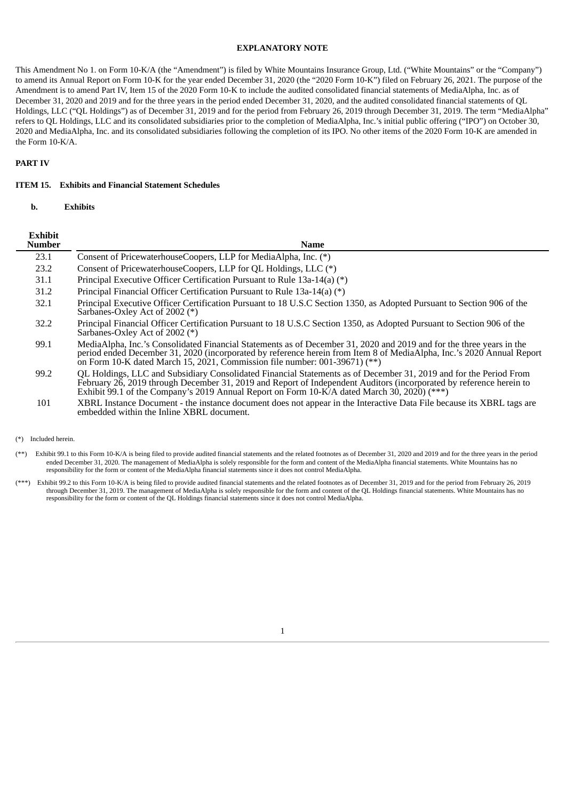#### **EXPLANATORY NOTE**

This Amendment No 1. on Form 10-K/A (the "Amendment") is filed by White Mountains Insurance Group, Ltd. ("White Mountains" or the "Company") to amend its Annual Report on Form 10-K for the year ended December 31, 2020 (the "2020 Form 10-K") filed on February 26, 2021. The purpose of the Amendment is to amend Part IV, Item 15 of the 2020 Form 10-K to include the audited consolidated financial statements of MediaAlpha, Inc. as of December 31, 2020 and 2019 and for the three years in the period ended December 31, 2020, and the audited consolidated financial statements of QL Holdings, LLC ("QL Holdings") as of December 31, 2019 and for the period from February 26, 2019 through December 31, 2019. The term "MediaAlpha" refers to QL Holdings, LLC and its consolidated subsidiaries prior to the completion of MediaAlpha, Inc.'s initial public offering ("IPO") on October 30, 2020 and MediaAlpha, Inc. and its consolidated subsidiaries following the completion of its IPO. No other items of the 2020 Form 10-K are amended in the Form 10-K/A.

## **PART IV**

#### **ITEM 15. Exhibits and Financial Statement Schedules**

**b. Exhibits**

| <b>Exhibit</b><br><b>Number</b> | <b>Name</b>                                                                                                                                                                                                                                                                                                                               |
|---------------------------------|-------------------------------------------------------------------------------------------------------------------------------------------------------------------------------------------------------------------------------------------------------------------------------------------------------------------------------------------|
| 23.1                            | Consent of PricewaterhouseCoopers, LLP for MediaAlpha, Inc. (*)                                                                                                                                                                                                                                                                           |
| 23.2                            | Consent of PricewaterhouseCoopers, LLP for QL Holdings, LLC (*)                                                                                                                                                                                                                                                                           |
| 31.1                            | Principal Executive Officer Certification Pursuant to Rule 13a-14(a) (*)                                                                                                                                                                                                                                                                  |
| 31.2                            | Principal Financial Officer Certification Pursuant to Rule 13a-14(a) (*)                                                                                                                                                                                                                                                                  |
| 32.1                            | Principal Executive Officer Certification Pursuant to 18 U.S.C Section 1350, as Adopted Pursuant to Section 906 of the<br>Sarbanes-Oxley Act of 2002 (*)                                                                                                                                                                                  |
| 32.2                            | Principal Financial Officer Certification Pursuant to 18 U.S.C Section 1350, as Adopted Pursuant to Section 906 of the<br>Sarbanes-Oxley Act of 2002 (*)                                                                                                                                                                                  |
| 99.1                            | MediaAlpha, Inc.'s Consolidated Financial Statements as of December 31, 2020 and 2019 and for the three years in the<br>period ended December 31, 2020 (incorporated by reference herein from Item 8 of MediaAlpha, Inc.'s 2020 Annual Report<br>on Form 10-K dated March 15, 2021, Commission file number: 001-39671) $(**)$             |
| 99.2                            | QL Holdings, LLC and Subsidiary Consolidated Financial Statements as of December 31, 2019 and for the Period From<br>February 26, 2019 through December 31, 2019 and Report of Independent Auditors (incorporated by reference herein to<br>Exhibit 99.1 of the Company's 2019 Annual Report on Form 10-K/A dated March 30, 2020) $(***)$ |
| 101                             | XBRL Instance Document - the instance document does not appear in the Interactive Data File because its XBRL tags are<br>embedded within the Inline XBRL document.                                                                                                                                                                        |

(\*) Included herein.

(\*\*) Exhibit 99.1 to this Form 10-K/A is being filed to provide audited financial statements and the related footnotes as of December 31, 2020 and 2019 and for the three years in the period ended December 31, 2020. The management of MediaAlpha is solely responsible for the form and content of the MediaAlpha financial statements. White Mountains has no responsibility for the form or content of the MediaAlpha financial statements since it does not control MediaAlpha.

(\*\*\*) Exhibit 99.2 to this Form 10-K/A is being filed to provide audited financial statements and the related footnotes as of December 31, 2019 and for the period from February 26, 2019 through December 31, 2019. The management of MediaAlpha is solely responsible for the form and content of the QL Holdings financial statements. White Mountains has no responsibility for the form or content of the QL Holdings financial statements since it does not control MediaAlpha.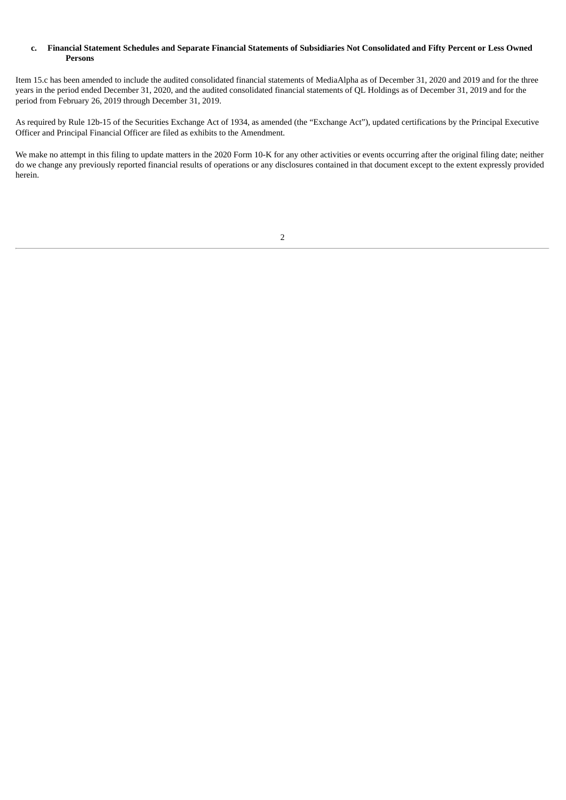## c. Financial Statement Schedules and Separate Financial Statements of Subsidiaries Not Consolidated and Fifty Percent or Less Owned **Persons**

Item 15.c has been amended to include the audited consolidated financial statements of MediaAlpha as of December 31, 2020 and 2019 and for the three years in the period ended December 31, 2020, and the audited consolidated financial statements of QL Holdings as of December 31, 2019 and for the period from February 26, 2019 through December 31, 2019.

As required by Rule 12b-15 of the Securities Exchange Act of 1934, as amended (the "Exchange Act"), updated certifications by the Principal Executive Officer and Principal Financial Officer are filed as exhibits to the Amendment.

We make no attempt in this filing to update matters in the 2020 Form 10-K for any other activities or events occurring after the original filing date; neither do we change any previously reported financial results of operations or any disclosures contained in that document except to the extent expressly provided herein.

## 2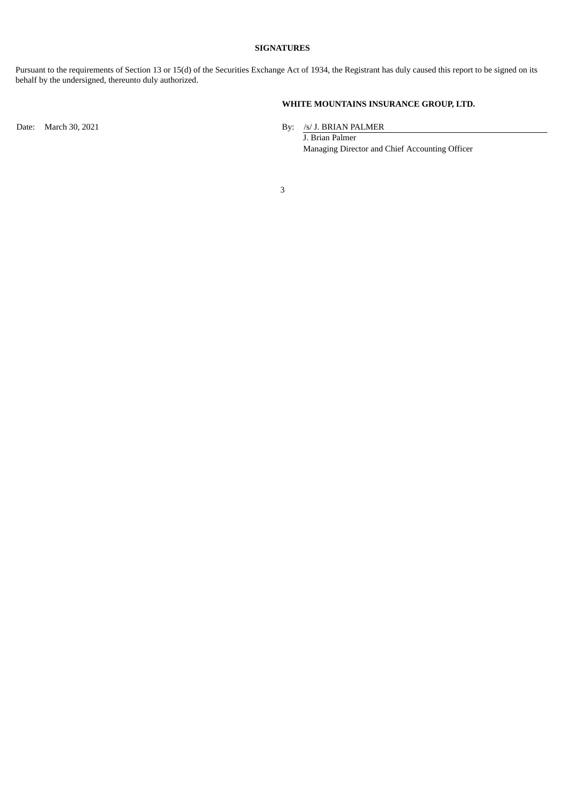## **SIGNATURES**

Pursuant to the requirements of Section 13 or 15(d) of the Securities Exchange Act of 1934, the Registrant has duly caused this report to be signed on its behalf by the undersigned, thereunto duly authorized.

# **WHITE MOUNTAINS INSURANCE GROUP, LTD.**

Date: March 30, 2021 By: /s/ J. BRIAN PALMER

J. Brian Palmer Managing Director and Chief Accounting Officer

3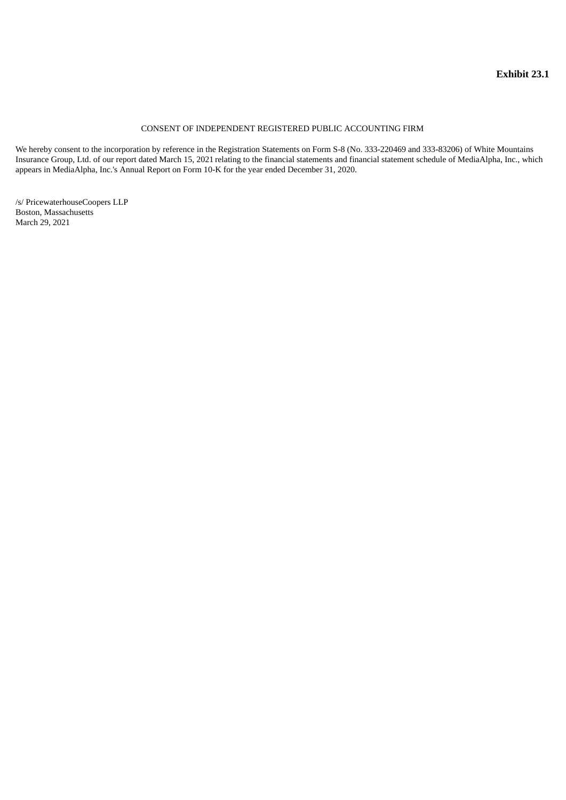## CONSENT OF INDEPENDENT REGISTERED PUBLIC ACCOUNTING FIRM

<span id="page-4-0"></span>We hereby consent to the incorporation by reference in the Registration Statements on Form S-8 (No. 333-220469 and 333-83206) of White Mountains Insurance Group, Ltd. of our report dated March 15, 2021 relating to the financial statements and financial statement schedule of MediaAlpha, Inc., which appears in MediaAlpha, Inc.'s Annual Report on Form 10-K for the year ended December 31, 2020.

/s/ PricewaterhouseCoopers LLP Boston, Massachusetts March 29, 2021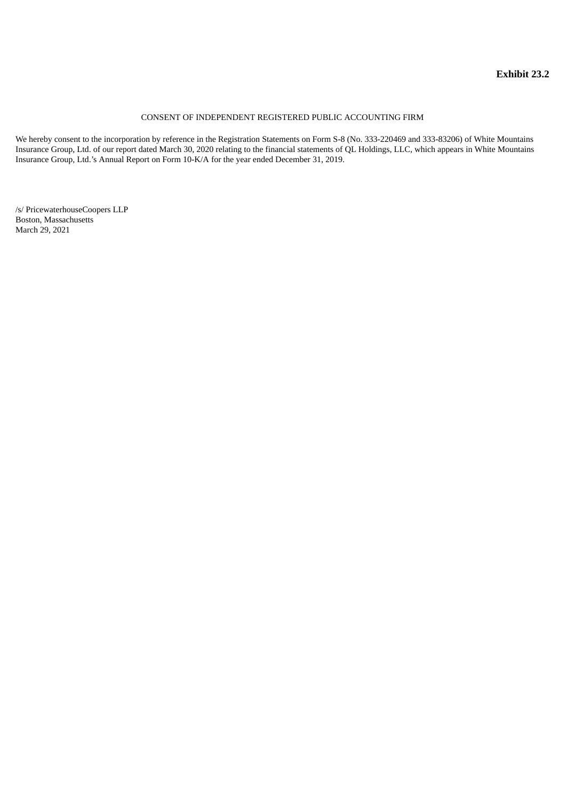## CONSENT OF INDEPENDENT REGISTERED PUBLIC ACCOUNTING FIRM

<span id="page-5-0"></span>We hereby consent to the incorporation by reference in the Registration Statements on Form S-8 (No. 333-220469 and 333-83206) of White Mountains Insurance Group, Ltd. of our report dated March 30, 2020 relating to the financial statements of QL Holdings, LLC, which appears in White Mountains Insurance Group, Ltd.'s Annual Report on Form 10-K/A for the year ended December 31, 2019.

/s/ PricewaterhouseCoopers LLP Boston, Massachusetts March 29, 2021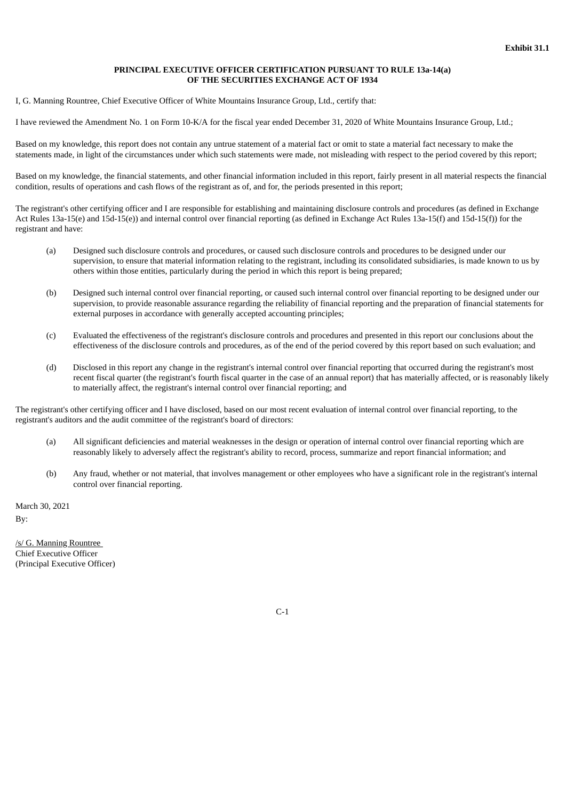#### **PRINCIPAL EXECUTIVE OFFICER CERTIFICATION PURSUANT TO RULE 13a-14(a) OF THE SECURITIES EXCHANGE ACT OF 1934**

<span id="page-6-0"></span>I, G. Manning Rountree, Chief Executive Officer of White Mountains Insurance Group, Ltd., certify that:

I have reviewed the Amendment No. 1 on Form 10-K/A for the fiscal year ended December 31, 2020 of White Mountains Insurance Group, Ltd.;

Based on my knowledge, this report does not contain any untrue statement of a material fact or omit to state a material fact necessary to make the statements made, in light of the circumstances under which such statements were made, not misleading with respect to the period covered by this report;

Based on my knowledge, the financial statements, and other financial information included in this report, fairly present in all material respects the financial condition, results of operations and cash flows of the registrant as of, and for, the periods presented in this report;

The registrant's other certifying officer and I are responsible for establishing and maintaining disclosure controls and procedures (as defined in Exchange Act Rules 13a-15(e) and 15d-15(e)) and internal control over financial reporting (as defined in Exchange Act Rules 13a-15(f) and 15d-15(f)) for the registrant and have:

- (a) Designed such disclosure controls and procedures, or caused such disclosure controls and procedures to be designed under our supervision, to ensure that material information relating to the registrant, including its consolidated subsidiaries, is made known to us by others within those entities, particularly during the period in which this report is being prepared;
- (b) Designed such internal control over financial reporting, or caused such internal control over financial reporting to be designed under our supervision, to provide reasonable assurance regarding the reliability of financial reporting and the preparation of financial statements for external purposes in accordance with generally accepted accounting principles;
- (c) Evaluated the effectiveness of the registrant's disclosure controls and procedures and presented in this report our conclusions about the effectiveness of the disclosure controls and procedures, as of the end of the period covered by this report based on such evaluation; and
- (d) Disclosed in this report any change in the registrant's internal control over financial reporting that occurred during the registrant's most recent fiscal quarter (the registrant's fourth fiscal quarter in the case of an annual report) that has materially affected, or is reasonably likely to materially affect, the registrant's internal control over financial reporting; and

The registrant's other certifying officer and I have disclosed, based on our most recent evaluation of internal control over financial reporting, to the registrant's auditors and the audit committee of the registrant's board of directors:

- (a) All significant deficiencies and material weaknesses in the design or operation of internal control over financial reporting which are reasonably likely to adversely affect the registrant's ability to record, process, summarize and report financial information; and
- (b) Any fraud, whether or not material, that involves management or other employees who have a significant role in the registrant's internal control over financial reporting.

March 30, 2021 By:

/s/ G. Manning Rountree Chief Executive Officer (Principal Executive Officer)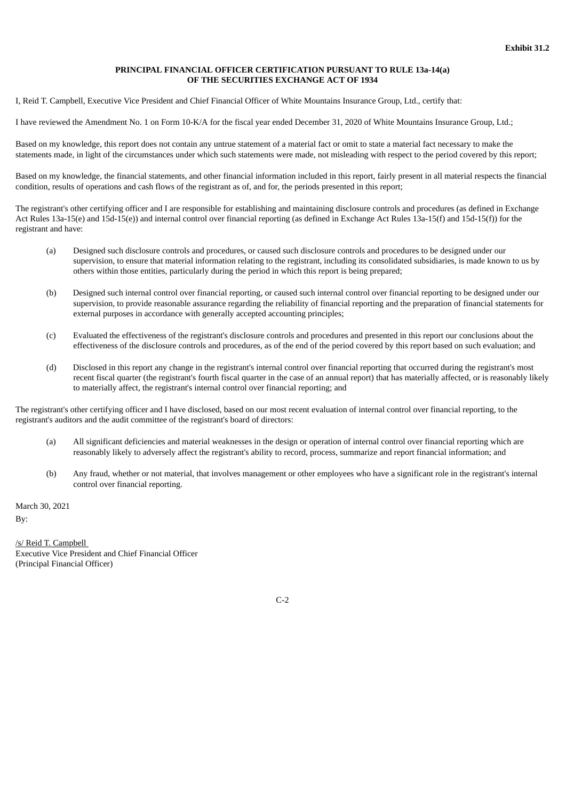#### **PRINCIPAL FINANCIAL OFFICER CERTIFICATION PURSUANT TO RULE 13a-14(a) OF THE SECURITIES EXCHANGE ACT OF 1934**

<span id="page-7-0"></span>I, Reid T. Campbell, Executive Vice President and Chief Financial Officer of White Mountains Insurance Group, Ltd., certify that:

I have reviewed the Amendment No. 1 on Form 10-K/A for the fiscal year ended December 31, 2020 of White Mountains Insurance Group, Ltd.;

Based on my knowledge, this report does not contain any untrue statement of a material fact or omit to state a material fact necessary to make the statements made, in light of the circumstances under which such statements were made, not misleading with respect to the period covered by this report;

Based on my knowledge, the financial statements, and other financial information included in this report, fairly present in all material respects the financial condition, results of operations and cash flows of the registrant as of, and for, the periods presented in this report;

The registrant's other certifying officer and I are responsible for establishing and maintaining disclosure controls and procedures (as defined in Exchange Act Rules 13a-15(e) and 15d-15(e)) and internal control over financial reporting (as defined in Exchange Act Rules 13a-15(f) and 15d-15(f)) for the registrant and have:

- (a) Designed such disclosure controls and procedures, or caused such disclosure controls and procedures to be designed under our supervision, to ensure that material information relating to the registrant, including its consolidated subsidiaries, is made known to us by others within those entities, particularly during the period in which this report is being prepared;
- (b) Designed such internal control over financial reporting, or caused such internal control over financial reporting to be designed under our supervision, to provide reasonable assurance regarding the reliability of financial reporting and the preparation of financial statements for external purposes in accordance with generally accepted accounting principles;
- (c) Evaluated the effectiveness of the registrant's disclosure controls and procedures and presented in this report our conclusions about the effectiveness of the disclosure controls and procedures, as of the end of the period covered by this report based on such evaluation; and
- (d) Disclosed in this report any change in the registrant's internal control over financial reporting that occurred during the registrant's most recent fiscal quarter (the registrant's fourth fiscal quarter in the case of an annual report) that has materially affected, or is reasonably likely to materially affect, the registrant's internal control over financial reporting; and

The registrant's other certifying officer and I have disclosed, based on our most recent evaluation of internal control over financial reporting, to the registrant's auditors and the audit committee of the registrant's board of directors:

- (a) All significant deficiencies and material weaknesses in the design or operation of internal control over financial reporting which are reasonably likely to adversely affect the registrant's ability to record, process, summarize and report financial information; and
- (b) Any fraud, whether or not material, that involves management or other employees who have a significant role in the registrant's internal control over financial reporting.

March 30, 2021 By:

/s/ Reid T. Campbell Executive Vice President and Chief Financial Officer (Principal Financial Officer)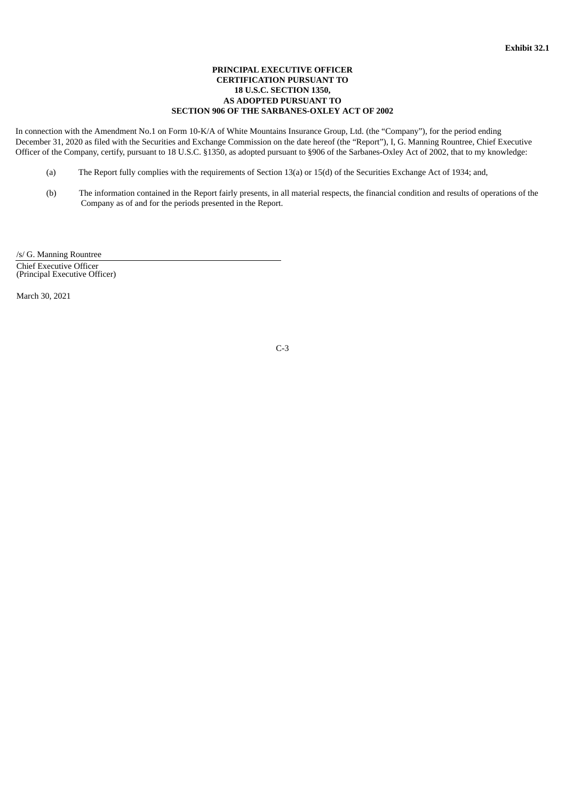## **PRINCIPAL EXECUTIVE OFFICER CERTIFICATION PURSUANT TO 18 U.S.C. SECTION 1350, AS ADOPTED PURSUANT TO SECTION 906 OF THE SARBANES-OXLEY ACT OF 2002**

<span id="page-8-0"></span>In connection with the Amendment No.1 on Form 10-K/A of White Mountains Insurance Group, Ltd. (the "Company"), for the period ending December 31, 2020 as filed with the Securities and Exchange Commission on the date hereof (the "Report"), I, G. Manning Rountree, Chief Executive Officer of the Company, certify, pursuant to 18 U.S.C. §1350, as adopted pursuant to §906 of the Sarbanes-Oxley Act of 2002, that to my knowledge:

- (a) The Report fully complies with the requirements of Section 13(a) or 15(d) of the Securities Exchange Act of 1934; and,
- (b) The information contained in the Report fairly presents, in all material respects, the financial condition and results of operations of the Company as of and for the periods presented in the Report.

/s/ G. Manning Rountree

Chief Executive Officer (Principal Executive Officer)

March 30, 2021